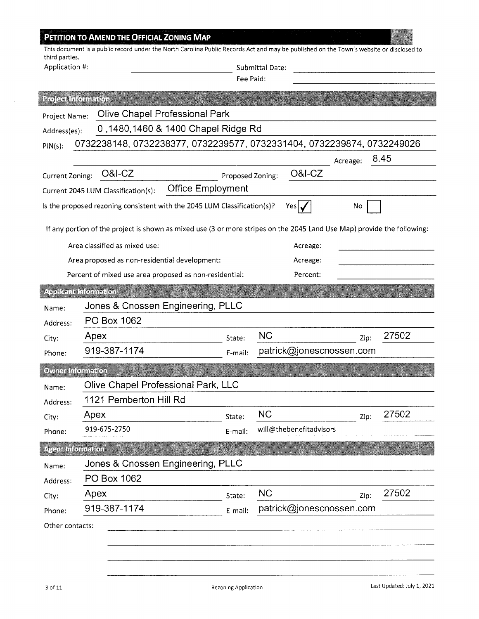| <u> Toletalnommun</u><br>Project Name:<br>Address(es):<br>$PIN(s)$ :<br>Current Zoning: | Olive Chapel Professional Park<br>0,1480,1460 & 1400 Chapel Ridge Rd<br>0732238148, 0732238377, 0732239577, 0732331404, 0732239874, 0732249026<br><b>O&amp;I-CZ</b><br>Current 2045 LUM Classification(s):<br>Is the proposed rezoning consistent with the 2045 LUM Classification(s)?<br>If any portion of the project is shown as mixed use (3 or more stripes on the 2045 Land Use Map) provide the following:<br>Area classified as mixed use:<br>Area proposed as non-residential development: | <b>Office Employment</b> | Fee Paid:<br>Proposed Zoning: |           | <b>O&amp;I-CZ</b><br>Yesl | Acreage:<br>No | 8.45  |
|-----------------------------------------------------------------------------------------|-----------------------------------------------------------------------------------------------------------------------------------------------------------------------------------------------------------------------------------------------------------------------------------------------------------------------------------------------------------------------------------------------------------------------------------------------------------------------------------------------------|--------------------------|-------------------------------|-----------|---------------------------|----------------|-------|
|                                                                                         |                                                                                                                                                                                                                                                                                                                                                                                                                                                                                                     |                          |                               |           |                           |                |       |
|                                                                                         |                                                                                                                                                                                                                                                                                                                                                                                                                                                                                                     |                          |                               |           |                           |                |       |
|                                                                                         |                                                                                                                                                                                                                                                                                                                                                                                                                                                                                                     |                          |                               |           |                           |                |       |
|                                                                                         |                                                                                                                                                                                                                                                                                                                                                                                                                                                                                                     |                          |                               |           |                           |                |       |
|                                                                                         |                                                                                                                                                                                                                                                                                                                                                                                                                                                                                                     |                          |                               |           |                           |                |       |
|                                                                                         |                                                                                                                                                                                                                                                                                                                                                                                                                                                                                                     |                          |                               |           |                           |                |       |
|                                                                                         |                                                                                                                                                                                                                                                                                                                                                                                                                                                                                                     |                          |                               |           |                           |                |       |
|                                                                                         |                                                                                                                                                                                                                                                                                                                                                                                                                                                                                                     |                          |                               |           |                           |                |       |
|                                                                                         |                                                                                                                                                                                                                                                                                                                                                                                                                                                                                                     |                          |                               |           |                           |                |       |
|                                                                                         |                                                                                                                                                                                                                                                                                                                                                                                                                                                                                                     |                          |                               |           |                           |                |       |
|                                                                                         |                                                                                                                                                                                                                                                                                                                                                                                                                                                                                                     |                          |                               |           | Acreage:                  |                |       |
|                                                                                         |                                                                                                                                                                                                                                                                                                                                                                                                                                                                                                     |                          |                               |           | Acreage:                  |                |       |
|                                                                                         | Percent of mixed use area proposed as non-residential:                                                                                                                                                                                                                                                                                                                                                                                                                                              |                          |                               |           | Percent:                  |                |       |
| Anglicental diometrich                                                                  |                                                                                                                                                                                                                                                                                                                                                                                                                                                                                                     |                          |                               |           |                           |                |       |
| Name:                                                                                   | Jones & Cnossen Engineering, PLLC                                                                                                                                                                                                                                                                                                                                                                                                                                                                   |                          |                               |           |                           |                |       |
| Address:                                                                                | PO Box 1062                                                                                                                                                                                                                                                                                                                                                                                                                                                                                         |                          |                               |           |                           |                |       |
| City:                                                                                   | Apex                                                                                                                                                                                                                                                                                                                                                                                                                                                                                                |                          | State:                        | <b>NC</b> |                           | Zip:           | 27502 |
| Phone:                                                                                  | 919-387-1174                                                                                                                                                                                                                                                                                                                                                                                                                                                                                        |                          | E-mail:                       |           | patrick@jonescnossen.com  |                |       |
| Ovne information                                                                        |                                                                                                                                                                                                                                                                                                                                                                                                                                                                                                     |                          |                               |           |                           |                |       |
|                                                                                         | Olive Chapel Professional Park, LLC                                                                                                                                                                                                                                                                                                                                                                                                                                                                 |                          |                               |           |                           |                |       |
| Name:<br>Address:                                                                       | 1121 Pemberton Hill Rd                                                                                                                                                                                                                                                                                                                                                                                                                                                                              |                          |                               |           |                           |                |       |
| City:                                                                                   | Apex                                                                                                                                                                                                                                                                                                                                                                                                                                                                                                |                          | State:                        | <b>NC</b> |                           | Zip:           | 27502 |
| Phone:                                                                                  | 919-675-2750                                                                                                                                                                                                                                                                                                                                                                                                                                                                                        |                          | E-mail:                       |           | will@thebenefitadvisors   |                |       |
| econtiformation                                                                         |                                                                                                                                                                                                                                                                                                                                                                                                                                                                                                     |                          |                               |           |                           |                |       |
|                                                                                         | Jones & Cnossen Engineering, PLLC                                                                                                                                                                                                                                                                                                                                                                                                                                                                   |                          |                               |           |                           |                |       |
| Name:                                                                                   | PO Box 1062                                                                                                                                                                                                                                                                                                                                                                                                                                                                                         |                          |                               |           |                           |                |       |
| Address:<br>City:                                                                       | Apex                                                                                                                                                                                                                                                                                                                                                                                                                                                                                                |                          | State:                        | <b>NC</b> |                           | Zip:           | 27502 |
| Phone:                                                                                  | 919-387-1174                                                                                                                                                                                                                                                                                                                                                                                                                                                                                        |                          | E-mail:                       |           | patrick@jonescnossen.com  |                |       |
| Other contacts:                                                                         |                                                                                                                                                                                                                                                                                                                                                                                                                                                                                                     |                          |                               |           |                           |                |       |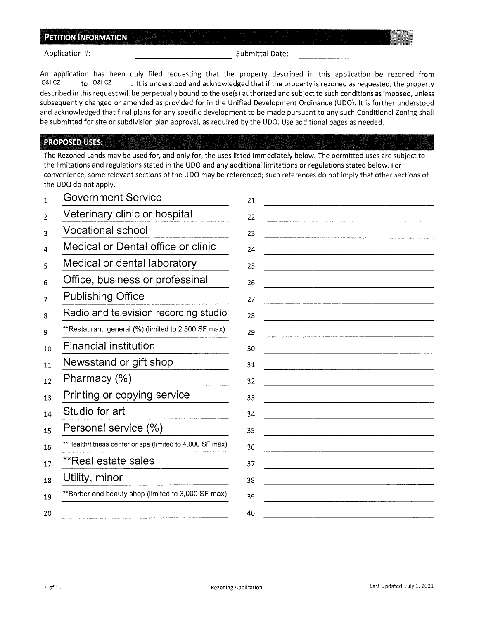Application #: Submittal Date: ----------

An application has been duly filed requesting that the property described in this application be rezoned from O&I-CZ to O&I-CZ it is understood and acknowledged that if the property is rezoned as requested, the property described in this request will be perpetually bound to the use(s) authorized and subject to such conditions as imposed, unless subsequently changed or amended as provided for in the Unified Development Ordinance (UDO). It is further understood and acknowledged that final plans for any specific development to be made pursuant to any such Conditional Zoning shall be submitted for site or subdivision plan approval, as required by the UDO. Use additional pages as needed.

#### **PROPOSED USES:**

The Rezoned Lands may be used for, and only for, the uses listed immediately below. The permitted uses are subject to the limitations and regulations stated in the UDO and any additional limitations or regulations stated below. For convenience, some relevant sections of the UDO may be referenced; such references do not imply that other sections of the UDO do not apply.

| <b>Government Service</b>                                | 21                                                                                                                    |
|----------------------------------------------------------|-----------------------------------------------------------------------------------------------------------------------|
| Veterinary clinic or hospital                            | 22                                                                                                                    |
| <b>Vocational school</b>                                 | 23                                                                                                                    |
| Medical or Dental office or clinic                       | 24                                                                                                                    |
| Medical or dental laboratory                             | 25                                                                                                                    |
| Office, business or professinal                          | 26                                                                                                                    |
| <b>Publishing Office</b>                                 | 27                                                                                                                    |
| Radio and television recording studio                    | 28                                                                                                                    |
| **Restaurant, general (%) (limited to 2,500 SF max)      | 29                                                                                                                    |
| Financial institution                                    | 30                                                                                                                    |
| Newsstand or gift shop                                   | 31                                                                                                                    |
| Pharmacy $(\%)$                                          | 32                                                                                                                    |
| Printing or copying service                              | 33                                                                                                                    |
| Studio for art                                           | 34                                                                                                                    |
| Personal service (%)                                     | 35                                                                                                                    |
| **Health/fitness center or spa (limited to 4,000 SF max) | 36                                                                                                                    |
| **Real estate sales                                      | 37                                                                                                                    |
| Utility, minor                                           | 38<br>the contract of the contract of the contract of the contract of the contract of the contract of the contract of |
| **Barber and beauty shop (limited to 3,000 SF max)       | 39                                                                                                                    |
|                                                          | 40                                                                                                                    |
|                                                          |                                                                                                                       |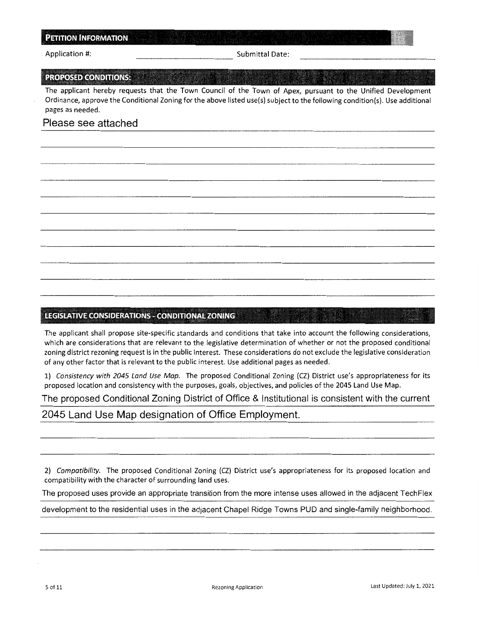Application #: Submittal Date:

#### **PROPOSED CONDITIONS:**

The applicant hereby requests that the Town Council of the Town of Apex, pursuant to the Unified Development Ordinance, approve the Conditional Zoning for the above listed use(s) subject to the following condition(s). Use additional pages as needed.

### Please see attached

#### **E.EGISLATIVE CONSIDERATIONS** - **CONDITIONAL ZONING**

The applicant shall propose site-specific standards and conditions that take into account the following considerations, which are considerations that are relevant to the legislative determination of whether or not the proposed conditional zoning district rezoning request is in the public interest. These considerations do not exclude the legislative consideration of any other factor that is relevant to the public interest. Use additional pages as needed.

1) *Consistency with 2045 Land Use Map.* The proposed Conditional Zoning (CZ) District use's appropriateness for its proposed location and consistency with the purposes, goals, objectives, and policies of the 2045 Land Use Map.

The proposed Conditional Zoning District of Office & Institutional is consistent with the current

2045 Land Use Map designation of Office Employment.

2) *Compatibility.* The proposed Conditional Zoning (CZ) District use's appropriateness for its proposed location and compatibility with the character of surrounding land uses.

The proposed uses provide an appropriate transition from the more intense uses allowed in the adjacent TechFlex

development to the residential uses in the adjacent Chapel Ridge Towns PUD and single-family neighborhood.

fl&!WHilllli®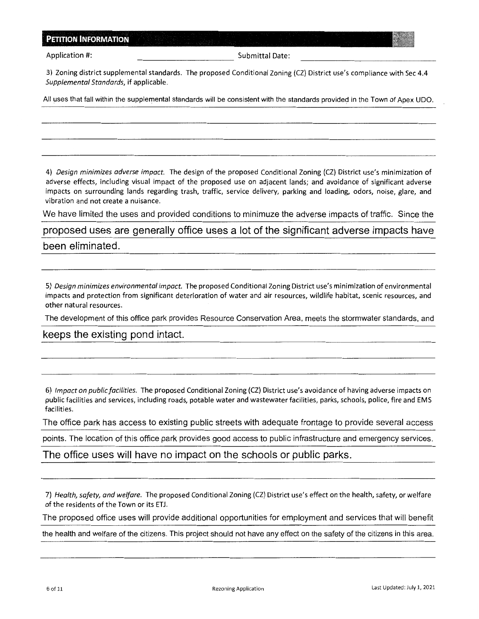| <b>PETITION INFORMATION</b> |  |
|-----------------------------|--|
|                             |  |
|                             |  |
|                             |  |
|                             |  |

Application #: Submittal Date:

3) Zoning district supplemental standards. The proposed Conditional Zoning (CZ) District use's compliance with Sec 4.4 *Supplemental Standards,* if applicable.

All uses that fall within the supplemental standards will be consistent with the standards provided in the Town of Apex UDO.

4) *Design minimizes adverse impact.* The design of the proposed Conditional Zoning (CZ) District use's minimization of adverse effects, including visual impact of the proposed use on adjacent lands; and avoidance of significant adverse impacts on surrounding lands regarding trash, traffic, service delivery, parking and loading, odors, noise, glare, and vibration and not create a nuisance.

We have limited the uses and provided conditions to minimuze the adverse impacts of traffic. Since the

proposed uses are generally office uses a lot of the significant adverse impacts have been eliminated.

5) *Design minimizes environmental impact.* The proposed Conditional Zoning District use's minimization of environmental impacts and protection from significant deterioration of water and air resources, wildlife habitat, scenic resources, and other natural resources.

The development of this office park provides Resource Conservation Area, meets the stormwater standards, and

keeps the existing pond intact.

6) *Impact on public facilities.* The proposed Conditional Zoning (CZ) District use's avoidance of having adverse impacts on public facilities and services, including roads, potable water and wastewater facilities, parks, schools, police, fire and EMS facilities.

The office park has access to existing public streets with adequate frontage to provide several access

points. The location of this office park provides good access to public infrastructure and emergency services.

The office uses will have no impact on the schools or public parks.

7) *Health, safety, and welfare.* The proposed Conditional Zoning (CZ) District use's effect on the health, safety, or welfare of the residents of the Town or its ETJ.

The proposed office uses will provide additional opportunities for employment and services that will benefit

the health and welfare of the citizens. This project should not have any effect on the safety of the citizens in this area.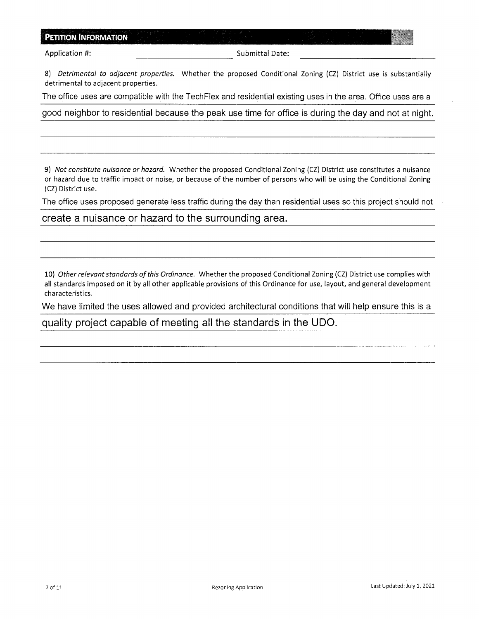Application #: Submittal Date:

8) *Detrimental to adjacent properties.* Whether the proposed Conditional Zoning (CZ) District use is substantially detrimental to adjacent properties.

The office uses are compatible with the TechFlex and residential existing uses in the area. Office uses are a

good neighbor to residential because the peak use time for office is during the day and not at night.

9) *Not constitute nuisance or hazard.* Whether the proposed Conditional Zoning (CZ) District use constitutes a nuisance or hazard due to traffic impact or noise, or because of the number of persons who will be using the Conditional Zoning (CZ) District use.

The office uses proposed generate less traffic during the day than residential uses so this project should not

#### create a nuisance or hazard to the surrounding area.

10) *Other relevant standards of this Ordinance.* Whether the proposed Conditional Zoning (CZ) District use complies with all standards imposed on it by all other applicable provisions of this Ordinance for use, layout, and general development characteristics.

We have limited the uses allowed and provided architectural conditions that will help ensure this is a

quality project capable of meeting all the standards in the UDO.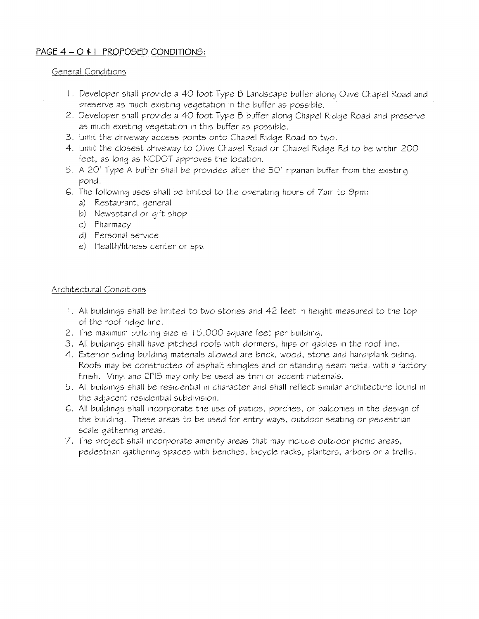### **PAGE 4** - **<sup>0</sup>**\* <sup>I</sup>**PROPOSED CONDITIONS:**

### General Conditions

- I . Developer shall provide a 40 foot Type B Landscape buffer along Olive Chapel Road and preserve as much existing vegetation in the buffer as possible.
- 2. Developer shall provide a 40 foot Type B buffer along Chapel Ridge Road and preserve as much existing vegetation in this buffer as possible.
- 3. Limit the driveway access points onto Chapel Ridge Road to two.
- 4. Limit the closest driveway to Olive Chapel Road on Chapel Ridge Rd to be within 200 feet, as long as NCDOT approves the location.
- 5. A 20' Type A buffer shall be provided after the 50' riparian buffer from the existing pond.
- G. The following uses shall be limited to the operating hours of 7am to 9pm:
	- a) Restaurant, general
	- b) Newsstand or gift shop
	- c) Pharmacy
	- d) Personal service
	- e) Health/fitness center or spa

### Architectural Conditions

- I. All buildings shall be limited to two stories and 42 feet in height measured to the top of the roof ridge line.
- 2. The maximum building size 1s I 5,000 square feet per building.
- 3. All buildings shall have pitched roofs with dormers, hips or gables in the roof line.
- 4. Exterior siding building materials allowed are brick, wood, stone and hardiplank siding. Roofs may be constructed of asphalt shingles and or standing seam metal with a factory finish. Vinyl and EFIS may only be used as trim or accent materials.
- 5. All buildings shall be residential in character and shall reflect similar architecture found in the adjacent residential subdivision.
- G. All buildings shall incorporate the use of patios, porches, or balconies in the design of the building. These areas to be used for entry ways, outdoor seating or pedestrian scale gathering areas.
- 7. The project shall incorporate amenity areas that may include outdoor picnic areas, pedestrian gathering spaces with benches, bicycle racks, planters, arbors or a trellis.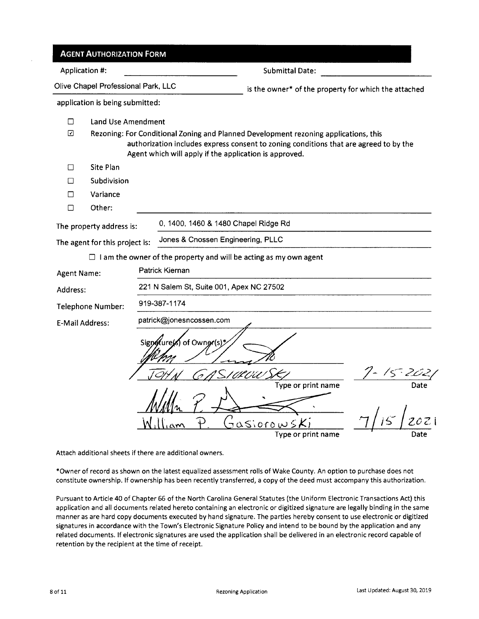|                        | <b>AGENT AUTHORIZATION FORM</b>     |                                                                                                                                                                                                                                         |                                                                  |                           |
|------------------------|-------------------------------------|-----------------------------------------------------------------------------------------------------------------------------------------------------------------------------------------------------------------------------------------|------------------------------------------------------------------|---------------------------|
| Application #:         |                                     |                                                                                                                                                                                                                                         | <b>Submittal Date:</b>                                           |                           |
|                        | Olive Chapel Professional Park, LLC |                                                                                                                                                                                                                                         | is the owner* of the property for which the attached             |                           |
|                        | application is being submitted:     |                                                                                                                                                                                                                                         |                                                                  |                           |
| $\Box$                 | <b>Land Use Amendment</b>           |                                                                                                                                                                                                                                         |                                                                  |                           |
| ☑                      |                                     | Rezoning: For Conditional Zoning and Planned Development rezoning applications, this<br>authorization includes express consent to zoning conditions that are agreed to by the<br>Agent which will apply if the application is approved. |                                                                  |                           |
| П                      | Site Plan                           |                                                                                                                                                                                                                                         |                                                                  |                           |
| П                      | Subdivision                         |                                                                                                                                                                                                                                         |                                                                  |                           |
| □                      | Variance                            |                                                                                                                                                                                                                                         |                                                                  |                           |
| □                      | Other:                              |                                                                                                                                                                                                                                         |                                                                  |                           |
|                        | The property address is:            | 0, 1400, 1460 & 1480 Chapel Ridge Rd                                                                                                                                                                                                    |                                                                  |                           |
|                        | The agent for this project is:      | Jones & Cnossen Engineering, PLLC                                                                                                                                                                                                       |                                                                  |                           |
|                        |                                     | $\Box$ I am the owner of the property and will be acting as my own agent                                                                                                                                                                |                                                                  |                           |
| <b>Agent Name:</b>     |                                     | Patrick Kiernan                                                                                                                                                                                                                         |                                                                  |                           |
| Address:               |                                     | 221 N Salem St, Suite 001, Apex NC 27502                                                                                                                                                                                                |                                                                  |                           |
|                        | Telephone Number:                   | 919-387-1174                                                                                                                                                                                                                            |                                                                  |                           |
| <b>E-Mail Address:</b> |                                     | patrick@jonesncossen.com                                                                                                                                                                                                                |                                                                  |                           |
|                        |                                     | Signotures of Owner(s)*                                                                                                                                                                                                                 | ' Al O'U<br>Type or print name<br>Jasiorow<br>Type or print name | $\cdot$ E<br>Date<br>Date |

Attach additional sheets if there are additional owners.

\*Owner of record as shown on the latest equalized assessment rolls of Wake County. An option to purchase does not constitute ownership. If ownership has been recently transferred, a copy of the deed must accompany this authorization.

Pursuant to Article 40 of Chapter 66 of the North Carolina General Statutes (the Uniform Electronic Transactions Act) this application and all documents related hereto containing an electronic or digitized signature are legally binding in the same manner as are hard copy documents executed by hand signature. The parties hereby consent to use electronic or digitized signatures in accordance with the Town's Electronic Signature Policy and intend to be bound by the application and any related documents. If electronic signatures are used the application shall be delivered in an electronic record capable of retention by the recipient at the time of receipt.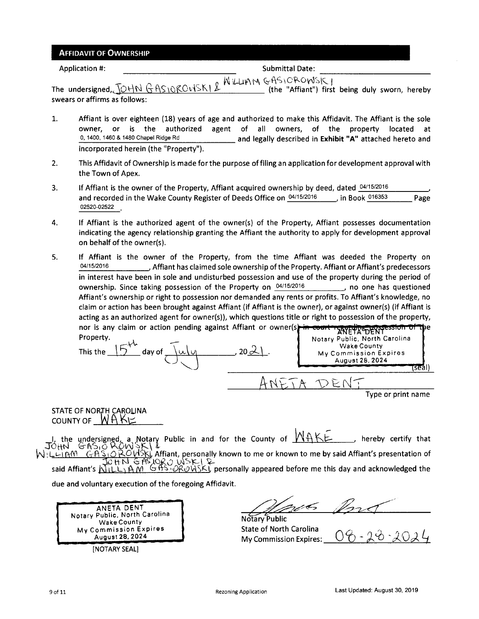#### AFFIDAVIT OF OWNERSHIP

Application #:  $\blacksquare$ 

The undersigned, JOHN GAS10ROWSKI & WILLIAM GAS10ROWSKI (the "Affiant") first being duly sworn, hereby swears or affirms as follows:

- 1. Affiant is over eighteen (18) years of age and authorized to make this Affidavit. The Affiant is the sole owner, or is the authorized agent of all owners, of the property located at o, 1400, 1460 & 1480 Chapel Ridge Rd and legally described in **Exhibit "A"** attached hereto and incorporated herein (the "Property").
- 2. This Affidavit of Ownership is made for the purpose offiling an application for development approval with the Town of Apex.
- 3. If Affiant is the owner of the Property, Affiant acquired ownership by deed, dated  $04/15/2016$ and recorded in the Wake County Register of Deeds Office on  $04/15/2016$  in Book  $016353$  Page 02520-02522
- 4. If Affiant is the authorized agent of the owner(s) of the Property, Affiant possesses documentation indicating the agency relationship granting the Affiant the authority to apply for development approval on behalf of the owner(s).
- 5. If Affiant is the owner of the Property, from the time Affiant was deeded the Property on 04/15/2016 Affiant has claimed sole ownership ofthe Property. Affiant or Affiant's predecessors in interest have been in sole and undisturbed possession and use of the property during the period of ownership. Since taking possession of the Property on  $04/15/2016$  no one has questioned Affiant's ownership or right to possession nor demanded any rents or profits. To Affiant's knowledge, no claim or action has been brought against Affiant (if Affiant is the owner), or against owner(s) (if Affiant is acting as an authorized agent for owner(s)), which questions title or right to possession of the property, nor is any claim or action pending against Affiant or owner(s) in counting of the BRI

Property.<br>
This the <u>15<sup>th</sup></u> day of <u>July</u> 20<u>21</u>. Notary Public, North Carolina<br>
My Commission Expires August 28, 2024  $ANDT$ 

STATE OF NORTH CAROLINA COUNTY OF  $WHK \succeq$ 

the undersigned, a Notary Public in and for the County of  $MAKE$ , hereby certify that JÖHN N:LLIAM GASIO ROUSKI Affiant, personally known to me or known to me by said Affiant's presentation of *i:J* tt -::s-~ J.O."-v W *':>* ~ \ .li? said Affiant's  $\overline{N_1L_2}$ ,  $\overline{MN}$   $\overline{MN}$ ,  $\overline{MN}$ ,  $\overline{MN}$  is  $\overline{MN}$  are personally appeared before me this day and acknowledged the

due and voluntary execution of the foregoing Affidavit.

ANETA DENT Notary Public, North Carolina Wake County My Commission Expires August28,2024 [NOTARY SEAL]

0C,

Notary Public State of North Carolina My Commission Expires:

Type or print name

rseal)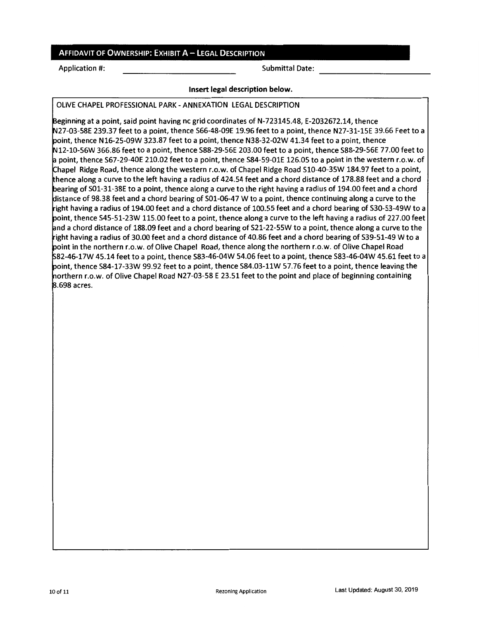#### AFFIDAVIT OF OWNERSHIP: EXHIBIT A - LEGAL DESCRIPTION

Application #: Submittal Date:

#### **Insert legal description below.**

OLIVE CHAPEL PROFESSIONAL PARK - ANNEXATION LEGAL DESCRIPTION

Beginning at a point, said point having nc grid coordinates of N-723145.48, E-2032672.14, thence N27-03-58E 239.37 feet to a point, thence S66-48-09E 19.96 feet to a point, thence N27-31-15E 39.66 Feet to a point, thence N16-25-09W 323.87 feet to a point, thence N38-32-02W 41.34 feet to a point, thence N12-10-56W 366.86 feet to a point, thence S88-29-56E 203.00 feet to a point, thence S88-29-56E 77.00 feet to a point, thence S67-29-40E 210.02 feet to a point, thence S84-59-01E 126.05 to a point in the western r.o.w. of Chapel Ridge Road, thence along the western r.o.w. of Chapel Ridge Road S10-40-35W 184.97 feet to a point, hence along a curve to the left having a radius of 424.54 feet and a chord distance of 178.88 feet and a chord bearing of S01-31-38E to a point, thence along a curve to the right having a radius of 194.00 feet and a chord distance of 98.38 feet and a chord bearing of S0l-06-47 W to a point, thence continuing along a curve to the ight having a radius of 194.00 feet and a chord distance of 100.55 feet and a chord bearing of S30-53-49W to a point, thence S45-51-23W 115.00 feet to a point, thence along a curve to the left having a radius of 227.00 feet and a chord distance of 188.09 feet and a chord bearing of S21-22-55W to a point, thence along a curve to the right having a radius of 30.00 feet and a chord distance of 40.86 feet and a chord bearing of S39-51-49 W to a point in the northern r.o.w. of Olive Chapel Road, thence along the northern r.o.w. of Olive Chapel Road S82-46-17W 45.14 feet to a point, thence S83-46-04W 54.06 feet to a point, thence S83-46-04W 45.61 feet to a point, thence S84-17-33W 99.92 feet to a point, thence S84.03-llW 57.76 feet to a point, thence leaving the northern r.o.w. of Olive Chapel Road N27-03-58 E 23.51 feet to the point and place of beginning containing 8.698 acres.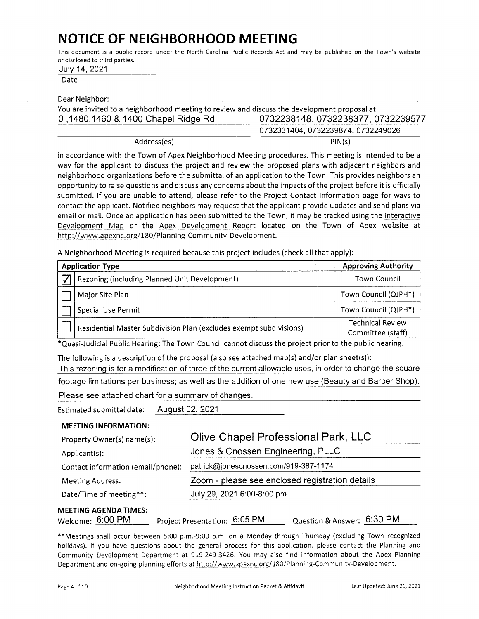# **NOTICE OF NEIGHBORHOOD MEETING**

This document is a public record under the North Carolina Public Records Act and may be published on the Town's website or disclosed to third parties.

|  |  | July 14, 2021 |
|--|--|---------------|
|--|--|---------------|

Date

Dear Neighbor:

You are invited to a neighborhood meeting to review and discuss the development proposal at 0, 1480, 1460 & 1400 Chapel Ridge Rd 0732238148, 0732238377, 0732239577 0732331404,0732239874,0732249026

Address(es) **PIN(s)** 

in accordance with the Town of Apex Neighborhood Meeting procedures. This meeting is intended to be a way for the applicant to discuss the project and review the proposed plans with adjacent neighbors and neighborhood organizations before the submittal of an application to the Town. This provides neighbors an opportunity to raise questions and discuss any concerns about the impacts of the project before it is officially submitted. If you are unable to attend, please refer to the Project Contact Information page for ways to contact the applicant. Notified neighbors may request that the applicant provide updates and send plans via email or mail. Once an application has been submitted to the Town, it may be tracked using the Interactive Development Map or the Apex Development Report located on the Town of Apex website at http://www.apexnc.org/180/Planning-Community-Development.

A Neighborhood Meeting is required because this project includes (check all that apply):

| <b>Application Type</b>                                            | <b>Approving Authority</b>                   |
|--------------------------------------------------------------------|----------------------------------------------|
| Rezoning (including Planned Unit Development)                      | <b>Town Council</b>                          |
| Major Site Plan                                                    | Town Council (QJPH*)                         |
| Special Use Permit                                                 | Town Council (QJPH*)                         |
| Residential Master Subdivision Plan (excludes exempt subdivisions) | <b>Technical Review</b><br>Committee (staff) |

\*Quasi-Judicial Public Hearing: The Town Council cannot discuss the project prior to the public hearing.

The following is a description of the proposal (also see attached map(s) and/or plan sheet(s)):

This rezoning is for a modification of three of the current allowable uses, in order to change the square

footage limitations per business; as well as the addition of one new use (Beauty and Barber Shop).

Please see attached chart for a summary of changes.

Estimated submittal date: August 02, 2021

| <b>MEETING INFORMATION:</b> |  |  |
|-----------------------------|--|--|
|-----------------------------|--|--|

| Property Owner(s) name(s):         | Olive Chapel Professional Park, LLC             |
|------------------------------------|-------------------------------------------------|
| Applicant(s):                      | Jones & Cnossen Engineering, PLLC               |
| Contact information (email/phone): | patrick@jonescnossen.com/919-387-1174           |
| Meeting Address:                   | Zoom - please see enclosed registration details |
| Date/Time of meeting**:            | July 29, 2021 6:00-8:00 pm                      |
| <b>MEETING AGENDA TIMES:</b>       |                                                 |

Welcome: 6:00 PM Project Presentation: 6:05 PM Question & Answer: 6:30 PM

\*\*Meetings shall occur between 5:00 p.m.-9:00 p.m. on a Monday through Thursday (excluding Town recognized holidays). If you have questions about the general process for this application, please contact the Planning and Community Development Department at 919-249-3426. You may also find information about the Apex Planning Department and on-going planning efforts at http://www.apexnc.org/180/Planning-Community-Development.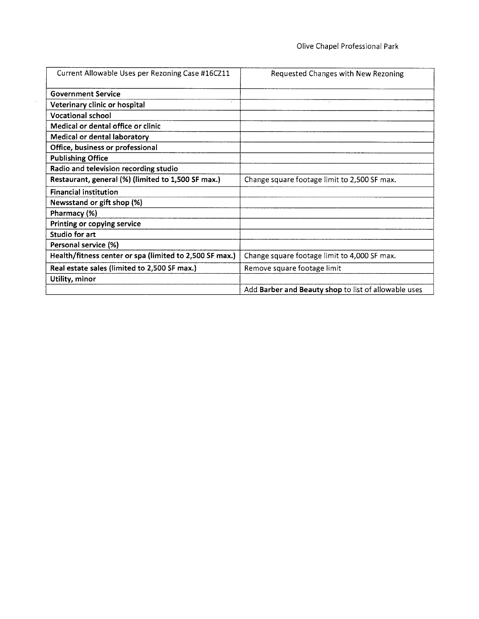| Current Allowable Uses per Rezoning Case #16CZ11        | Requested Changes with New Rezoning                  |
|---------------------------------------------------------|------------------------------------------------------|
| <b>Government Service</b>                               |                                                      |
| $\sim$<br>Veterinary clinic or hospital                 |                                                      |
| <b>Vocational school</b>                                |                                                      |
| Medical or dental office or clinic                      |                                                      |
| Medical or dental laboratory                            |                                                      |
| Office, business or professional                        |                                                      |
| <b>Publishing Office</b>                                |                                                      |
| Radio and television recording studio                   |                                                      |
| Restaurant, general (%) (limited to 1,500 SF max.)      | Change square footage limit to 2,500 SF max.         |
| <b>Financial institution</b>                            |                                                      |
| Newsstand or gift shop (%)                              |                                                      |
| Pharmacy (%)                                            |                                                      |
| Printing or copying service                             |                                                      |
| Studio for art                                          |                                                      |
| Personal service (%)                                    |                                                      |
| Health/fitness center or spa (limited to 2,500 SF max.) | Change square footage limit to 4,000 SF max.         |
| Real estate sales (limited to 2,500 SF max.)            | Remove square footage limit                          |
| Utility, minor                                          |                                                      |
|                                                         | Add Barber and Beauty shop to list of allowable uses |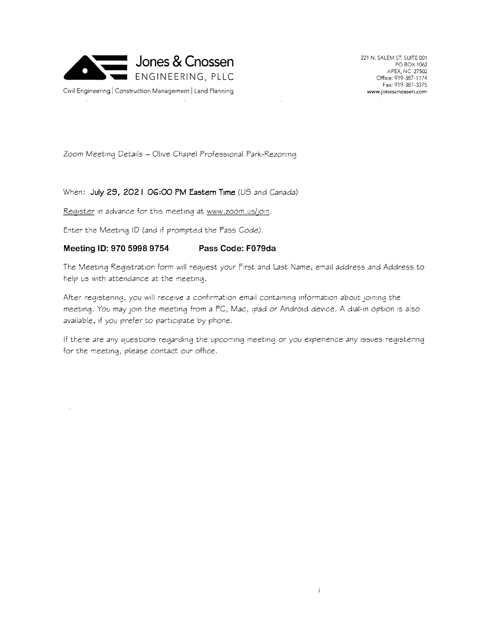

221 N. SALEM ST, SUITE C01 PO BOX 1062 APEX, NC 27502 Office: 919-387-1174 Fax: 919-387-3375 **www.jonescnossen.com** 

Zoom Meeting Details - Olive Chapel Professional Park-Rezoning

#### When: **July 29, 2021 OG:00 PM Eastern Time** (US and Canada)

Reqister in advance for this meeting at www.zoom.us/join.

Enter the Meeting ID (and 1f prompted the Fass Code).

#### · **Meeting ID: 970 5998 9754 Pass Code: F079da**

The Meeting Registration form will request your First and Last Name, email address and Address to help us with attendance at the meeting.

After registering, you will *receive a* confirmation *email* containing information about JOlning the meeting. You may JOln the meeting from *a* FC, Mac, 1pad or Android *device.* A dial-in option 1s also available, if you prefer to participate by phone.

If there are any questions regarding the upcoming meeting or you *experience* any issues registering for the meeting, please contact our *office.* 

 $\mathbf{I}$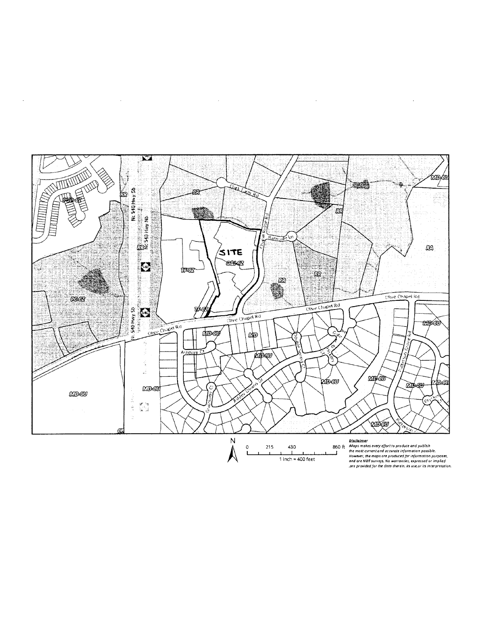

 $\cdot$ 

 $\bar{z}$ 

 $\mathcal{L}$ 

 $\bar{z}$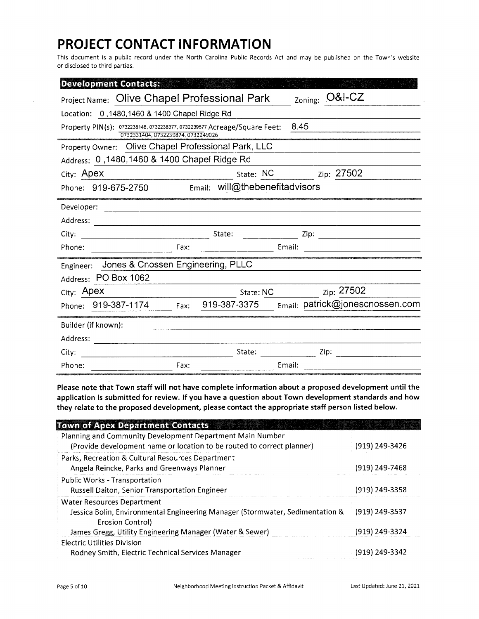# **PROJECT CONTACT INFORMATION**

This document is a public record under the North Carolina Public Records Act and may be published on the Town's website or disclosed to third parties.

| <b>Development Contacts:</b>                                                                                           |
|------------------------------------------------------------------------------------------------------------------------|
| <b>O&amp;I-CZ</b><br><b>Project Name: Olive Chapel Professional Park</b><br>Zoning:                                    |
| Location: 0,1480,1460 & 1400 Chapel Ridge Rd                                                                           |
| 8.45<br>Property PIN(s): 0732238148, 0732238377, 0732239577 Acreage/Square Feet:<br>0732331404, 0732239874, 0732249026 |
| Property Owner: Olive Chapel Professional Park, LLC                                                                    |
| Address: 0, 1480, 1460 & 1400 Chapel Ridge Rd                                                                          |
| Zip: 27502<br>State: NC<br>City: Apex                                                                                  |
| Email: will@thebenefitadvisors<br>Phone: 919-675-2750                                                                  |
| Developer:                                                                                                             |
| Address:                                                                                                               |
| State:<br>City:<br>Zip:                                                                                                |
| Phone:<br>Email:<br>Fax:                                                                                               |
| Jones & Cnossen Engineering, PLLC<br>Engineer:                                                                         |
| Address: PO Box 1062                                                                                                   |
| Zip: 27502<br>City: Apex<br>State: NC                                                                                  |
| Email: patrick@jonescnossen.com<br>919-387-3375<br>Phone: 919-387-1174<br>Fax:                                         |
| Builder (if known):                                                                                                    |
| Address:                                                                                                               |
| State:<br>Zip:<br>City:                                                                                                |
| Fax:<br>Email:<br>Phone:                                                                                               |

**Please note that Town staff will not have complete information about a proposed development until the application is submitted for review. If you have a question about Town development standards and how they relate to the proposed development, please contact the appropriate staff person listed below.** 

| <b>Town of Apex Department Contacts</b>                                                                                             |                |
|-------------------------------------------------------------------------------------------------------------------------------------|----------------|
| Planning and Community Development Department Main Number<br>(Provide development name or location to be routed to correct planner) | (919) 249-3426 |
| Parks, Recreation & Cultural Resources Department<br>Angela Reincke, Parks and Greenways Planner                                    | (919) 249-7468 |
| Public Works - Transportation<br>Russell Dalton, Senior Transportation Engineer                                                     | (919) 249-3358 |
| Water Resources Department<br>Jessica Bolin, Environmental Engineering Manager (Stormwater, Sedimentation &<br>Erosion Control)     | (919) 249-3537 |
| James Gregg, Utility Engineering Manager (Water & Sewer)                                                                            | (919) 249-3324 |
| Electric Utilities Division<br>Rodney Smith, Electric Technical Services Manager                                                    | (919) 249-3342 |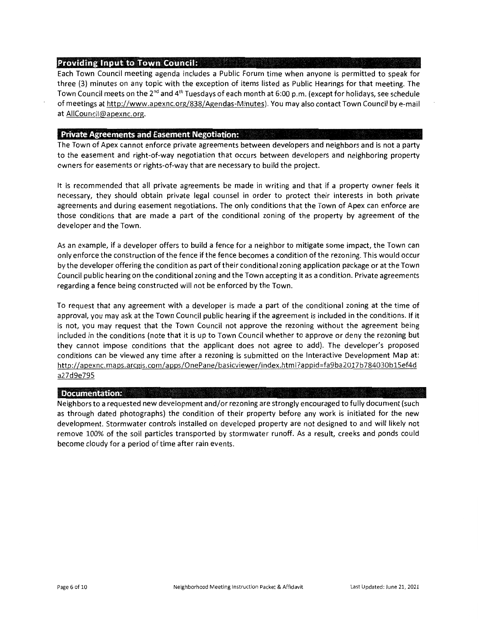#### **Providing Input to Town Council:**

Each Town Council meeting agenda includes a Public Forum time when anyone is permitted to speak for three (3) minutes on any topic with the exception of items listed as Public Hearings for that meeting. The Town Council meets on the 2<sup>nd</sup> and 4<sup>th</sup> Tuesdays of each month at 6:00 p.m. (except for holidays, see schedule of meetings at http://www.apexnc.org/838/Agendas-Minutes). You may also contact Town Council by e-mail at AIICouncil@apexnc.org.

#### **Private Agreements and Easement Negotiation:**

The Town of Apex cannot enforce private agreements between developers and neighbors and is not a party to the easement and right-of-way negotiation that occurs between developers and neighboring property owners for easements or rights-of-way that are necessary to build the project.

It is recommended that all private agreements be made in writing and that if a property owner feels it necessary, they should obtain private legal counsel in order to protect their interests in both private agreements and during easement negotiations. The only conditions that the Town of Apex can enforce are those conditions that are made a part of the conditional zoning of the property by agreement of the developer and the Town.

As an example, if a developer offers to build a fence for a neighbor to mitigate some impact, the Town can only enforce the construction of the fence if the fence becomes a condition of the rezoning. This would occur by the developer offering the condition as part of their conditional zoning application package or at the Town Council public hearing on the conditional zoning and the Town accepting it as a condition. Private agreements regarding a fence being constructed will not be enforced by the Town.

To request that any agreement with a developer is made a part of the conditional zoning at the time of approval, you may ask at the Town Council public hearing if the agreement is included in the conditions. If it is not, you may request that the Town Council not approve the rezoning without the agreement being included in the conditions (note that it is up to Town Council whether to approve or deny the rezoning but they cannot impose conditions that the applicant does not agree to add). The developer's proposed conditions can be viewed any time after a rezoning is submitted on the Interactive Development Map at: http://apexnc.maps.arcgis.com/apps/OnePane/basicviewer/index.htm1?appid=fa9ba2017b784030b15ef4d a27d9e795

#### **Uocwnentation:**

Neighbors to a requested new development and/or rezoning are strongly encouraged to fully document (such as through dated photographs) the condition of their property before any work is initiated for the new development. Stormwater controls installed on developed property are not designed to and will likely not remove 100% of the soil particles transported by stormwater runoff. As a result, creeks and ponds could become cloudy for a period of time after rain events.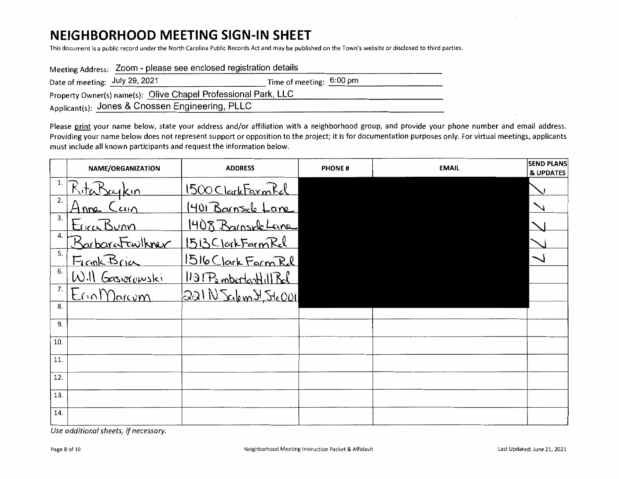## **NEIGHBORHOOD MEETING SIGN-IN SHEET**

This document is a public record under the North Carolina Public Records Act and may be published on the Town's website or disclosed to third parties.

| Meeting Address: Zoom - please see enclosed registration details |                          |  |  |  |
|------------------------------------------------------------------|--------------------------|--|--|--|
| Date of meeting: July 29, 2021                                   | Time of meeting: 6:00 pm |  |  |  |
| Property Owner(s) name(s): Olive Chapel Professional Park, LLC   |                          |  |  |  |
| Applicant(s): Jones & Cnossen Engineering, PLLC                  |                          |  |  |  |

Please print your name below, state your address and/or affiliation with a neighborhood group, and provide your phone number and email address. Providing your name below does not represent support or opposition to the project; it is for documentation purposes only. For virtual meetings, applicants must include all known participants and request the information below.

|     | NAME/ORGANIZATION | <b>ADDRESS</b>          | <b>PHONE#</b> | <b>EMAIL</b> | <b>SEND PLANS</b><br><b>&amp; UPDATES</b> |
|-----|-------------------|-------------------------|---------------|--------------|-------------------------------------------|
| 1.  | RitaBaykin        | 1500 Clark Farm Rel     |               |              |                                           |
| 2.  | Anne Cain         | 1401 Barnsick Lane      |               |              |                                           |
| 3.  | EncaBurn          | 1408 Barnske Lane       |               |              |                                           |
| 4.  | BarbaraFawikner   | 1513ClarkFarmRel        |               |              |                                           |
| 5.  | Frank Bria        | 1516 Clark Farm Rd      |               |              |                                           |
| 6.  | Will Gasiorowski  | 1121 PombertonHill Rel  |               |              |                                           |
| 7.  | EnnMarcom         | $331N$ Salem H, Ste ODi |               |              |                                           |
| 8.  |                   |                         |               |              |                                           |
| 9.  |                   |                         |               |              |                                           |
| 10. |                   |                         |               |              |                                           |
| 11. |                   |                         |               |              |                                           |
| 12. |                   |                         |               |              |                                           |
| 13. |                   |                         |               |              |                                           |
| 14. |                   |                         |               |              |                                           |

*Use additional sheets, if necessary.*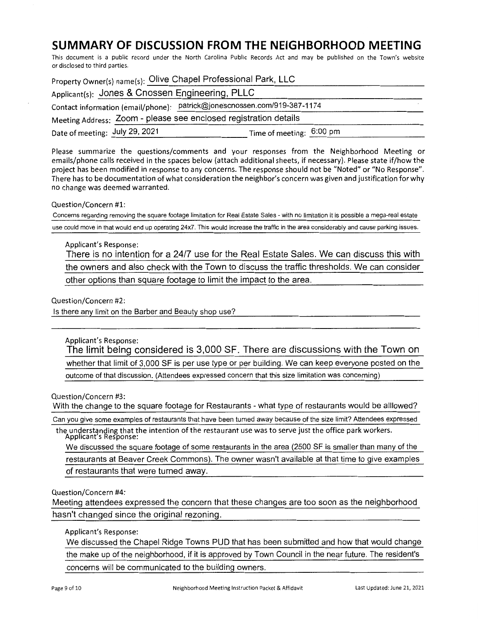### **SUMMARY OF DISCUSSION FROM THE NEIGHBORHOOD MEETING**

This document is a public record under the North Carolina Public Records Act and may be published on the Town's website or disclosed to third parties.

|                                | Property Owner(s) name(s): Olive Chapel Professional Park, LLC           |  |
|--------------------------------|--------------------------------------------------------------------------|--|
|                                | Applicant(s): Jones & Cnossen Engineering, PLLC                          |  |
|                                | Contact information (email/phone): patrick@jonescnossen.com/919-387-1174 |  |
|                                | Meeting Address: Zoom - please see enclosed registration details         |  |
| Date of meeting: July 29, 2021 | Time of meeting: 6:00 pm                                                 |  |
|                                |                                                                          |  |

Please summarize the questions/comments and your responses from the Neighborhood Meeting or emails/phone calls received in the spaces below (attach additional sheets, if necessary). Please state if/how the project has been modified in response to any concerns. The response should not be "Noted" or "No Response". There has to be documentation of what consideration the neighbor's concern was given and justification for why no change was deemed warranted.

#### Question/Concern #1:

Concerns regarding removing the square footage limitation for Real Estate Sales - with no limitation it is possible a mega-real estate

use could move in that would end up operating 24x7. This would increase the traffic in the area considerably and cause parking issues.

#### Applicant's Response:

There is no intention for a 24/7 use for the Real Estate Sales. We can discuss this with the owners and also check with the Town to discuss the traffic thresholds. We can consider other options than square footage to limit the impact to the area.

Question/Concern #2:

Is there any limit on the Barber and Beauty shop use?

#### Applicant's Response:

The limit being considered is 3,000 SF. There are discussions with the Town on whether that limit of 3,000 SF is per use type or per building. We can keep everyone posted on the outcome of that discussion. (Attendees expressed concern that this size limitation was concerning)

Question/Concern #3:

With the change to the square footage for Restaurants - what type of restaurants would be alllowed?

Can you give some examples of restaurants that have been turned away because of the size limit? Attendees expressed

the understanding that the intention of the restaurant use was to serve just the office park workers. Applicant's Response:

We discussed the square footage of some restaurants in the area (2500 SF is smaller than many of the restaurants at Beaver Creek Commons). The owner wasn't available at that time to give examples of restaurants that were turned away.

Question/Concern #4:

Meeting attendees expressed the concern that these changes are too soon as the neighborhood hasn't changed since the original rezoning.

#### Applicant's Response:

We discussed the Chapel Ridge Towns PUD that has been submitted and how that would change the make up of the neighborhood, if it is approved by Town Council in the near future. The resident's concerns will be communicated to the building owners.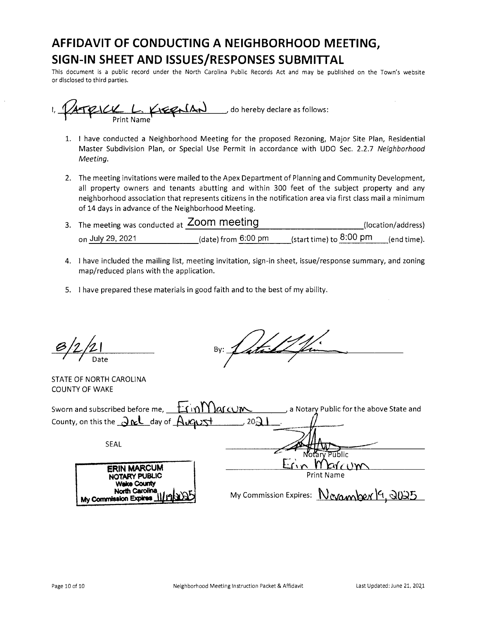# **AFFIDAVIT OF CONDUCTING A NEIGHBORHOOD MEETING, SIGN-IN SHEET AND ISSUES/RESPONSES SUBMITTAL**

This document is a public record under the North Carolina Public Records Act and may be published on the Town's website or disclosed to third parties.

 $1,$   $\sqrt{1}$   $\sqrt{1}$   $\sqrt{1}$   $\sqrt{1}$   $\sqrt{1}$   $\sqrt{1}$  do hereby declare as follows:

- 1. I have conducted a Neighborhood Meeting for the proposed Rezoning, Major Site Plan, Residential Master Subdivision Plan, or Special Use Permit in accordance with UDO Sec. 2.2.7 *Neighborhood Meeting.*
- 2. The meeting invitations were mailed to the Apex Department of Planning and Community Development, all property owners and tenants abutting and within 300 feet of the subject property and any neighborhood association that represents citizens in the notification area via first class mail a minimum of 14 days in advance of the Neighborhood Meeting.
- 3. The meeting was conducted at **Zoom meeting** (location/address)<br>on July 29, 2021 (date) from 6:00 pm (start time) to 8:00 pm (end time).
- 4. I have included the mailing list, meeting invitation, sign-in sheet, issue/response summary, and zoning map/reduced plans with the application.
- 5. I have prepared these materials in good faith and to the best of my ability.

By: Latal 2 fin

STATE OF NORTH CAROLINA COUNTY OF WAKE

| Sworn and subscribed before me, EqimMarcum                    | a Notary Public for the above State and  |
|---------------------------------------------------------------|------------------------------------------|
| County, on this the $\partial \kappa$ day of $\Delta \kappa$  | $20\Omega$                               |
| <b>SEAL</b>                                                   |                                          |
|                                                               | votary Püblic                            |
| <b>ERIN MARCUM</b><br>NOTARY PUBLIC                           | <b>Print Name</b>                        |
| <b>Wake County</b><br>North Carolina<br>My Commission Expires | My Commission Expires: Novamber 19, 2025 |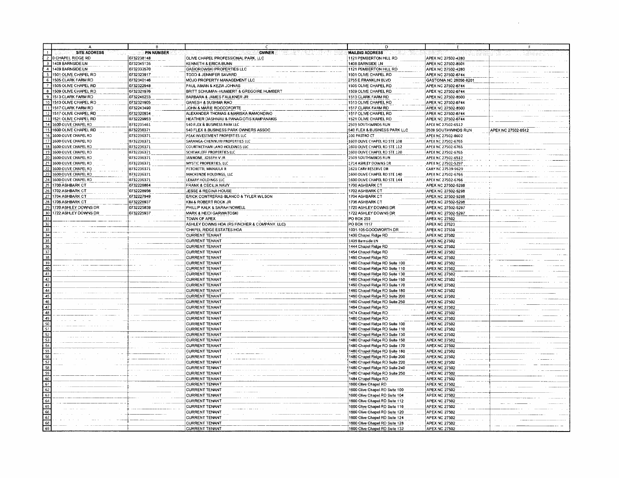|                                            |                   |                                                                       | D                                                                |                                              |                    |
|--------------------------------------------|-------------------|-----------------------------------------------------------------------|------------------------------------------------------------------|----------------------------------------------|--------------------|
| <b>SITE ADDRESS</b>                        | <b>PIN NUMBER</b> | <b>OWNER</b>                                                          | <b>MAILING ADDRESS</b>                                           |                                              |                    |
| CHAPEL RIDGE RD<br>$\overline{2}$          | 0732238148        | OLIVE CHAPEL PROFESSIONAL PARK, LLC                                   | 1121 PEMBERTON HILL RD                                           | APEX NC 27502-4280                           |                    |
| $\overline{\mathbf{3}}$<br>408 BARNSIDE LN | 0732345135        | <b>KENNETH &amp; ERICA BUNN</b>                                       | 1408 BARNSIDE LN                                                 | APEX NC 27502-8501                           |                    |
| $\overline{4}$<br>1409 BARNSIDE LN         | 0732333570        | GASIOROWSKI PROPERTIES LLC                                            | 1121 PEMBERTON HILL RD                                           | APEX NC 27502-4280                           |                    |
| न<br>1501 OLIVE CHAPEL RD                  | 0732323917        | TODD & JENNIFER SAVARD                                                | 1501 OLIVE CHAPEL RD                                             | APEX NC 27502-6744                           |                    |
| 6 1505 CLARK FARM RD                       | 0732340146        | MOJO PROPERTY MANAGEMENT LLC                                          | 2755 E FRANKLIN BLVD                                             | GASTONIA NC 28056-8201                       |                    |
| 7 <sup>1</sup><br>1505 OLIVE CHAPEL RD     | 0732322948        | PAUL AIMAN & KEZIA JOHNAS                                             | 1505 OLIVE CHAPEL RD                                             | APEX NC 27502-6744                           |                    |
| $\bf{8}$<br>1509 OLIVE CHAPEL RD           | 0732321976        | BRITT SCHUMAN-HUMBERT & GREGOIRE HUMBERT                              | 1509 OLIVE CHAPEL RD                                             | APEX NC 27502-6744                           |                    |
| 9 1513 CLARK FARM RD                       | 0732246233        | BARBARA & JAMES FAULKNER JR                                           | 1513 CLARK FARM RD                                               | APEX NC 27502-8500                           |                    |
| 10 1513 OLIVE CHAPEL RD                    | 0732321905        | GANESH & SUSHMA RAO                                                   | 1513 OLIVE CHAPEL RD                                             | APEX NC 27502-6744                           |                    |
| 11 1517 CLARK FARM RD                      | 0732243490        | JOHN & MARIE ROCCOFORTE                                               | 1517 CLARK FARM RD                                               | APEX NC 27502-8500                           |                    |
| 12 1517 OLIVE CHAPEL RD                    | 0732320934        | ALEXANDER THOMAS & MARISKA RAMONDINO                                  | 1517 OLIVE CHAPEL RD                                             | APEX NC 27502-6744                           |                    |
| 13 1521 OLIVE CHAPEL RD                    | 0732229953        | HEATHER DASHNAU & PANAGIOTIS KAMPANAKIS                               | 1521 OLIVE CHAPEL RD                                             | APEX NC 27502-6744                           |                    |
| 14 1600 OLIVE CHAPEL RD                    | 0732235461        |                                                                       |                                                                  |                                              |                    |
|                                            | 0732236371        | 540 FLEX & BUSINESS PARK LLC<br>540 FLEX & BUSINESS PARK OWNERS ASSOC | 2509 SOUTHWINDS RUN<br>540 FLEX & BUSINESS PARK LLC              | APEX NC 27502-6512                           | APEX NC 27502-6512 |
| 15 1600 OLIVE CHAPEL RD<br>16              |                   |                                                                       |                                                                  | 2509 SOUTHWINDS RUN                          |                    |
| 1600 OLIVE CHAPEL RD                       | 0732236371        | PEAK INVESTMENT PROPERTIES LLC                                        | 100 PASTRO CT                                                    | APEX NC 27502-8602                           |                    |
| 17<br>1600 OLIVE CHAPEL RD                 | 0732236371        | SARANGA-CHENNURI PROPERTIES LLC                                       | 1600 OLIVE CHAPEL RD STE 108                                     | APEX NC 27502-6765                           |                    |
| 18 1600 OLIVE CHAPEL RD                    | 0732236371        | COURTNETHAN LAND HOLDINGS LLC                                         | 1600 OLIVE CHAPEL RD STE 112                                     | APEX NC 27502-6765                           |                    |
| 19 1600 OLIVE CHAPEL RD                    | 0732236371        | SCHTAKLEFF PROPERTIES LLC                                             | 1600 OLIVE CHAPEL RD STE 120                                     | APEX NC 27502-6765                           |                    |
| 20 1600 OLIVE CHAPEL RD                    | 0732236371        | IANNONE, JOSEPH V JR                                                  | 2509 SOUTHWINDS RUN                                              | APEX NC 27502-6512                           |                    |
| 21 1600 OLIVE CHAPEL RD                    | 0732236371        | MYSTIC PROPERTIES, LLC                                                | 1714 ASHLEY DOWNS DR                                             | APEX NC 27502-5297                           |                    |
| 22 1600 OLIVE CHAPEL RD                    | 0732236371        | PETCHETTI, MANJULA R                                                  | 1621 CARY RESERVE DR                                             | CARY NC 27519-9629                           |                    |
| $\overline{23}$<br>1600 OLIVE CHAPEL RD    | 0732236371        | MACKENZIE HOLDINGS, LLC                                               | 1600 OLIVE CHAPEL RD STE 140                                     | APEX NC 27502-6766                           |                    |
| 24 1600 OLIVE CHAPEL RD                    | 0732236371        | LEXARY HOLDINGS LLC                                                   | 1600 OLIVE CHAPEL RD STE 144                                     | APEX NC 27502-6766                           |                    |
| $\overline{25}$<br>1700 ASHBARK CT         | 0732228864        | FRANK & CECILIA NAVY                                                  | 1700 ASHBARK CT                                                  | APEX NC 27502-5298                           |                    |
| 26 1702 ASHBARK CT                         | 0732228956        | <b>JESSE &amp; REGINA HOUSE</b>                                       | 1702 ASHBARK CT                                                  | APEX NC 27502-5298                           |                    |
| 27 1704 ASHBARK CT                         | 0732227949        | ERICK CONTRERAS-BLANCO & TYLER WILSON                                 | 1704 ASHBARK CT                                                  | APEX NC 27502-5298                           |                    |
| 28 1706 ASHBARK CT                         | 0732226937        | KIM & ROBERT ROCK JR                                                  | 1706 ASHBARK CT                                                  | APEX NC 27502-5298                           |                    |
| 29<br>1720 ASHLEY DOWNS DR                 | 0732225839        | PHILLIP KALK & SARAH NOWELL                                           | 720 ASHLEY DOWNS DR                                              | APEX NC 27502-5297                           |                    |
| 30<br>722 ASHLEY DOWNS DR                  | 0732225937        | <b>MARK &amp; HEIDI GARWATOSKI</b>                                    | 722 ASHLEY DOWNS DR                                              | APEX NC 27502-5297                           |                    |
| $\overline{31}$                            |                   | TOWN OF APEX                                                          | PO BOX 250                                                       | <b>APEX NC 27502</b>                         |                    |
| 32                                         |                   | ASHLEY DOWNS HOA (RS FINCHER & COMPANY, LLC)                          | PO BOX 1117                                                      | <b>APEX NC 27523</b>                         |                    |
| $\overline{33}$                            |                   | CHAPEL RIDGE ESTATES HOA                                              | 1001-105 GOODWORTH DR                                            | <b>APEX NC 27539</b>                         |                    |
| $\overline{34}$                            |                   | <b>CURRENT TENANT</b>                                                 | 1400 Chapel Ridge RD                                             | <b>APEX NC 27502</b>                         |                    |
| 35                                         |                   | <b>CURRENT TENANT</b>                                                 | 1409 Barnside LN                                                 | <b>APEX NC 27502</b>                         |                    |
| 36                                         |                   | <b>CURRENT TENANT</b>                                                 | 1444 Chapel Ridge RD                                             | <b>APEX NC 27502</b>                         |                    |
| $\overline{37}$                            |                   | <b>CURRENT TENANT</b>                                                 | 1454 Chapel Ridge RD                                             | <b>APEX NC 27502</b>                         |                    |
| 38                                         |                   | <b>CURRENT TENANT</b>                                                 | 460 Chapel Ridge RD                                              | <b>APEX NC 27502</b>                         |                    |
| 39                                         |                   | <b>CURRENT TENANT</b>                                                 | 460 Chapel Ridge RD Suite 100                                    | <b>APEX NC 27502</b>                         |                    |
|                                            |                   | <b>CURRENT TENANT</b>                                                 | 1460 Chapel Ridge RD Suite 110                                   | <b>APEX NC 27502</b>                         |                    |
| $\frac{40}{41}$                            |                   | <b>CURRENT TENANT</b>                                                 | 1460 Chapel Ridge RD Suite 130                                   | <b>APEX NC 27502</b>                         |                    |
|                                            |                   | <b>CURRENT TENANT</b>                                                 | 460 Chapel Ridge RD Suite 150                                    | <b>APEX NC 27502</b>                         |                    |
| $\overline{43}$                            |                   | <b>CURRENT TENANT</b>                                                 | 460 Chapel Ridge RD Suite 170                                    | <b>APEX NC 27502</b>                         |                    |
| $\overline{44}$                            |                   | <b>CURRENT TENANT</b>                                                 | 460 Chapel Ridge RD Suite 180                                    | <b>APEX NC 27502</b>                         |                    |
| 45                                         |                   | <b>CURRENT TENANT</b>                                                 | 1460 Chapel Ridge RD Suite 200                                   | <b>APEX NC 27502</b>                         |                    |
|                                            |                   | <b>CURRENT TENANT</b>                                                 | 1460 Chapel Ridge RD Suite 250                                   | <b>APEX NC 27502</b>                         |                    |
| $\frac{46}{47}$                            |                   |                                                                       |                                                                  |                                              |                    |
|                                            |                   | <b>CURRENT TENANT</b>                                                 | 1464 Chapel Ridge RD                                             | APEX NC 27502                                |                    |
| $\frac{48}{49}$                            |                   | <b>CURRENT TENANT</b>                                                 | 1474 Chapel Ridge RD<br>1480 Chapel Ridge RD                     | <b>APEX NC 27502</b><br><b>APEX NC 27502</b> |                    |
| 50                                         |                   | <b>CURRENT TENANT</b>                                                 |                                                                  |                                              |                    |
| 51                                         |                   | <b>CURRENT TENANT</b>                                                 | 1480 Chapel Ridge RD Suite 100                                   | <b>APEX NC 27502</b>                         |                    |
| $\overline{52}$                            |                   | <b>CURRENT TENANT</b>                                                 | 1480 Chapel Ridge RD Suite 110<br>1480 Chapel Ridge RD Suite 130 | <b>APEX NC 27502</b>                         |                    |
| $\overline{53}$                            |                   | <b>CURRENT TENANT</b>                                                 |                                                                  | <b>APEX NC 27502</b>                         |                    |
|                                            |                   | <b>CURRENT TENANT</b>                                                 | 1480 Chapel Ridge RD Suite 150                                   | <b>APEX NC 27502</b>                         |                    |
| $\overline{54}$                            |                   | <b>CURRENT TENANT</b>                                                 | 1480 Chapel Ridge RD Suite 170                                   | <b>APEX NC 27502</b>                         |                    |
| 55                                         |                   | <b>CURRENT TENANT</b>                                                 | 1480 Chapel Ridge RD Suite 180                                   | <b>APEX NC 27502</b>                         |                    |
| $\overline{56}$                            |                   | <b>CURRENT TENANT</b>                                                 | 1480 Chapel Ridge RD Suite 200                                   | <b>APEX NC 27502</b>                         |                    |
| $\overline{57}$                            |                   | <b>CURRENT TENANT</b>                                                 | 1480 Chapel Ridge RD Suite 220                                   | <b>APEX NC 27502</b>                         |                    |
| 58                                         |                   | <b>CURRENT TENANT</b>                                                 | 1480 Chapel Ridge RD Suite 240                                   | <b>APEX NC 27502</b>                         |                    |
| 59                                         |                   | <b>CURRENT TENANT</b>                                                 | 1480 Chapel Ridge RD Suite 250                                   | <b>APEX NC 27502</b>                         |                    |
| 60                                         |                   | <b>CURRENT TENANT</b>                                                 | 1484 Chapel Ridge RD                                             | <b>APEX NC 27502</b>                         |                    |
| $\overline{61}$                            |                   | CURRENT TENANT                                                        | 1600 Olive Chapel RD                                             | <b>APEX NC 27502</b>                         |                    |
| $\overline{62}$                            |                   | <b>CURRENT TENANT</b>                                                 | 1600 Olive Chapel RD Suite 100                                   | <b>APEX NC 27502</b>                         |                    |
| 63                                         |                   | <b>CURRENT TENANT</b>                                                 | 1600 Olive Chapel RD Suite 104                                   | <b>APEX NC 27502</b>                         |                    |
| 64                                         |                   | <b>CURRENT TENANT</b>                                                 | 1600 Olive Chapel RD Suite 112                                   | <b>APEX NC 27502</b>                         |                    |
| 65                                         |                   | <b>CURRENT TENANT</b>                                                 | 1600 Olive Chapel RD Suite 116                                   | <b>APEX NC 27502</b>                         |                    |
| 66                                         |                   | <b>CURRENT TENANT</b>                                                 | 1600 Olive Chapel RD Suite 120                                   | <b>APEX NC 27502</b>                         |                    |
| $\overline{67}$                            |                   | <b>CURRENT TENANT</b>                                                 | 1600 Olive Chapel RD Suite 124                                   | <b>APEX NC 27502</b>                         |                    |
| 68                                         |                   | <b>CURRENT TENANT</b>                                                 | 1600 Olive Chapel RD Suite 128                                   | <b>APEX NC 27502</b>                         |                    |
| 69                                         |                   | <b>CURRENT TENANT</b>                                                 | 1600 Olive Chapel RD Suite 132                                   | <b>APEX NC 27502</b>                         |                    |

 $\sim$